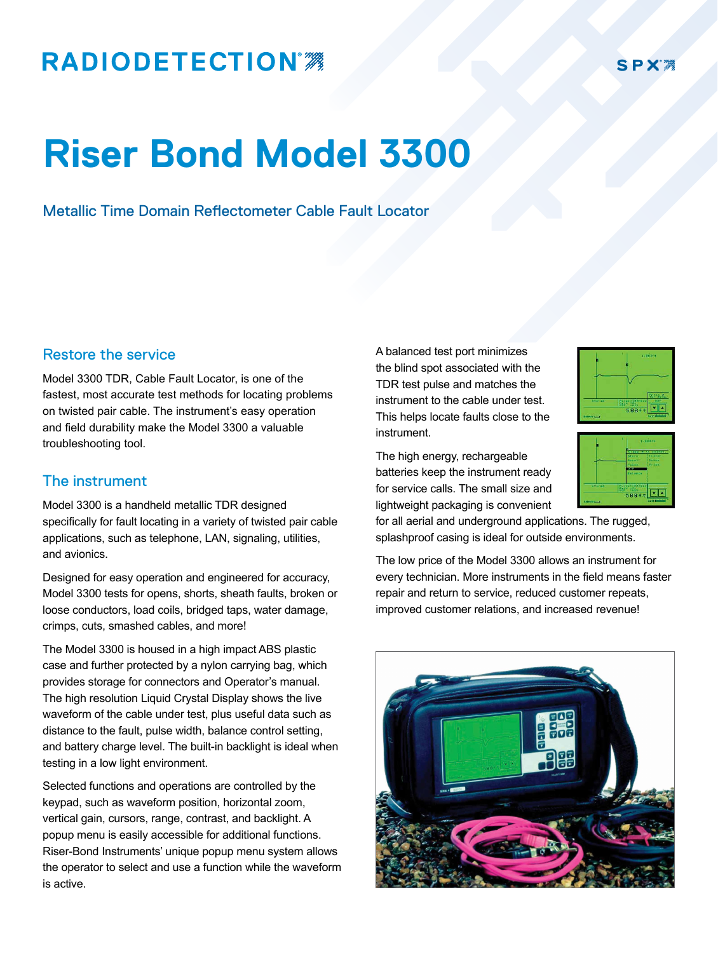## **RADIODETECTION®**

### **SPX**

# **Riser Bond Model 3300**

Metallic Time Domain Reflectometer Cable Fault Locator

#### Restore the service

Model 3300 TDR, Cable Fault Locator, is one of the fastest, most accurate test methods for locating problems on twisted pair cable. The instrument's easy operation and field durability make the Model 3300 a valuable troubleshooting tool.

#### The instrument

Model 3300 is a handheld metallic TDR designed specifically for fault locating in a variety of twisted pair cable applications, such as telephone, LAN, signaling, utilities, and avionics.

Designed for easy operation and engineered for accuracy, Model 3300 tests for opens, shorts, sheath faults, broken or loose conductors, load coils, bridged taps, water damage, crimps, cuts, smashed cables, and more!

The Model 3300 is housed in a high impact ABS plastic case and further protected by a nylon carrying bag, which provides storage for connectors and Operator's manual. The high resolution Liquid Crystal Display shows the live waveform of the cable under test, plus useful data such as distance to the fault, pulse width, balance control setting, and battery charge level. The built-in backlight is ideal when testing in a low light environment.

Selected functions and operations are controlled by the keypad, such as waveform position, horizontal zoom, vertical gain, cursors, range, contrast, and backlight. A popup menu is easily accessible for additional functions. Riser-Bond Instruments' unique popup menu system allows the operator to select and use a function while the waveform is active.

A balanced test port minimizes the blind spot associated with the TDR test pulse and matches the instrument to the cable under test. This helps locate faults close to the instrument.



588ft **VA** 

The high energy, rechargeable batteries keep the instrument ready for service calls. The small size and lightweight packaging is convenient

for all aerial and underground applications. The rugged, splashproof casing is ideal for outside environments.

The low price of the Model 3300 allows an instrument for every technician. More instruments in the field means faster repair and return to service, reduced customer repeats, improved customer relations, and increased revenue!